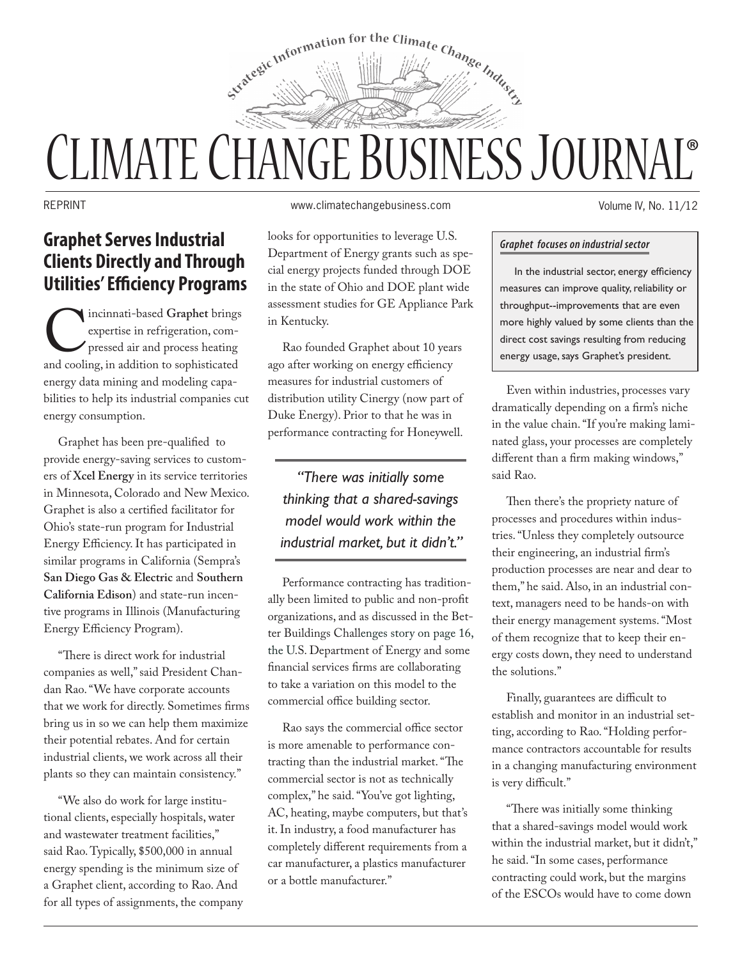

# ® CLIMATE CHANGE BUSINESS JOURNAL

## **Graphet Serves Industrial Clients Directly and Through Utilities' Efficiency Programs**

Incinnati-based Graphet brings<br>
expertise in refrigeration, com-<br>
pressed air and process heating<br>
and cooling, in addition to sophisticated expertise in refrigeration, compressed air and process heating energy data mining and modeling capabilities to help its industrial companies cut energy consumption.

Graphet has been pre-qualified to provide energy-saving services to customers of **Xcel Energy** in its service territories in Minnesota, Colorado and New Mexico. Graphet is also a certified facilitator for Ohio's state-run program for Industrial Energy Efficiency. It has participated in similar programs in California (Sempra's **San Diego Gas & Electric** and **Southern California Edison**) and state-run incentive programs in Illinois (Manufacturing Energy Efficiency Program).

"There is direct work for industrial companies as well," said President Chandan Rao. "We have corporate accounts that we work for directly. Sometimes firms bring us in so we can help them maximize their potential rebates. And for certain industrial clients, we work across all their plants so they can maintain consistency."

"We also do work for large institutional clients, especially hospitals, water and wastewater treatment facilities," said Rao. Typically, \$500,000 in annual energy spending is the minimum size of a Graphet client, according to Rao. And for all types of assignments, the company

REPRINT www.climatechangebusiness.com

looks for opportunities to leverage U.S. Department of Energy grants such as special energy projects funded through DOE in the state of Ohio and DOE plant wide assessment studies for GE Appliance Park in Kentucky.

Rao founded Graphet about 10 years ago after working on energy efficiency measures for industrial customers of distribution utility Cinergy (now part of Duke Energy). Prior to that he was in performance contracting for Honeywell.

*"There was initially some thinking that a shared-savings model would work within the industrial market, but it didn't."*

Performance contracting has traditionally been limited to public and non-profit organizations, and as discussed in the Better Buildings Challenges story on page 16, the U.S. Department of Energy and some financial services firms are collaborating to take a variation on this model to the commercial office building sector.

Rao says the commercial office sector is more amenable to performance contracting than the industrial market. "The commercial sector is not as technically complex," he said. "You've got lighting, AC, heating, maybe computers, but that's it. In industry, a food manufacturer has completely different requirements from a car manufacturer, a plastics manufacturer or a bottle manufacturer."

Volume IV, No. 11/12

#### *Graphet focuses on industrial sector*

In the industrial sector, energy efficiency measures can improve quality, reliability or throughput--improvements that are even more highly valued by some clients than the direct cost savings resulting from reducing energy usage, says Graphet's president.

Even within industries, processes vary dramatically depending on a firm's niche in the value chain. "If you're making laminated glass, your processes are completely different than a firm making windows," said Rao.

Then there's the propriety nature of processes and procedures within industries. "Unless they completely outsource their engineering, an industrial firm's production processes are near and dear to them," he said. Also, in an industrial context, managers need to be hands-on with their energy management systems. "Most of them recognize that to keep their energy costs down, they need to understand the solutions."

Finally, guarantees are difficult to establish and monitor in an industrial setting, according to Rao. "Holding performance contractors accountable for results in a changing manufacturing environment is very difficult."

"There was initially some thinking that a shared-savings model would work within the industrial market, but it didn't," he said. "In some cases, performance contracting could work, but the margins of the ESCOs would have to come down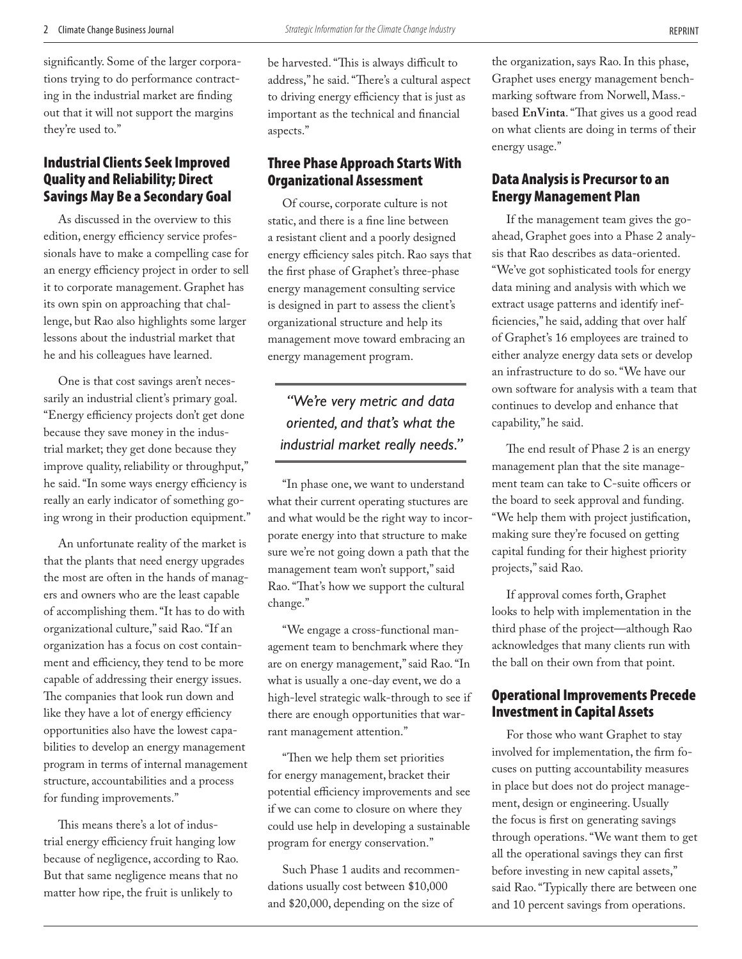significantly. Some of the larger corporations trying to do performance contracting in the industrial market are finding out that it will not support the margins they're used to."

#### Industrial Clients Seek Improved Quality and Reliability; Direct Savings May Be a Secondary Goal

As discussed in the overview to this edition, energy efficiency service professionals have to make a compelling case for an energy efficiency project in order to sell it to corporate management. Graphet has its own spin on approaching that challenge, but Rao also highlights some larger lessons about the industrial market that he and his colleagues have learned.

One is that cost savings aren't necessarily an industrial client's primary goal. "Energy efficiency projects don't get done because they save money in the industrial market; they get done because they improve quality, reliability or throughput," he said. "In some ways energy efficiency is really an early indicator of something going wrong in their production equipment."

An unfortunate reality of the market is that the plants that need energy upgrades the most are often in the hands of managers and owners who are the least capable of accomplishing them. "It has to do with organizational culture," said Rao. "If an organization has a focus on cost containment and efficiency, they tend to be more capable of addressing their energy issues. The companies that look run down and like they have a lot of energy efficiency opportunities also have the lowest capabilities to develop an energy management program in terms of internal management structure, accountabilities and a process for funding improvements."

This means there's a lot of industrial energy efficiency fruit hanging low because of negligence, according to Rao. But that same negligence means that no matter how ripe, the fruit is unlikely to

be harvested. "This is always difficult to address," he said. "There's a cultural aspect to driving energy efficiency that is just as important as the technical and financial aspects."

#### Three Phase Approach Starts With Organizational Assessment

Of course, corporate culture is not static, and there is a fine line between a resistant client and a poorly designed energy efficiency sales pitch. Rao says that the first phase of Graphet's three-phase energy management consulting service is designed in part to assess the client's organizational structure and help its management move toward embracing an energy management program.

### *"We're very metric and data oriented, and that's what the industrial market really needs."*

"In phase one, we want to understand what their current operating stuctures are and what would be the right way to incorporate energy into that structure to make sure we're not going down a path that the management team won't support," said Rao. "That's how we support the cultural change."

"We engage a cross-functional management team to benchmark where they are on energy management," said Rao. "In what is usually a one-day event, we do a high-level strategic walk-through to see if there are enough opportunities that warrant management attention."

"Then we help them set priorities for energy management, bracket their potential efficiency improvements and see if we can come to closure on where they could use help in developing a sustainable program for energy conservation."

Such Phase 1 audits and recommendations usually cost between \$10,000 and \$20,000, depending on the size of

the organization, says Rao. In this phase, Graphet uses energy management benchmarking software from Norwell, Mass. based **EnVinta**. "That gives us a good read on what clients are doing in terms of their energy usage."

#### Data Analysis is Precursor to an Energy Management Plan

If the management team gives the goahead, Graphet goes into a Phase 2 analysis that Rao describes as data-oriented. "We've got sophisticated tools for energy data mining and analysis with which we extract usage patterns and identify inefficiencies," he said, adding that over half of Graphet's 16 employees are trained to either analyze energy data sets or develop an infrastructure to do so. "We have our own software for analysis with a team that continues to develop and enhance that capability," he said.

The end result of Phase 2 is an energy management plan that the site management team can take to C-suite officers or the board to seek approval and funding. "We help them with project justification, making sure they're focused on getting capital funding for their highest priority projects," said Rao.

If approval comes forth, Graphet looks to help with implementation in the third phase of the project—although Rao acknowledges that many clients run with the ball on their own from that point.

#### Operational Improvements Precede Investment in Capital Assets

For those who want Graphet to stay involved for implementation, the firm focuses on putting accountability measures in place but does not do project management, design or engineering. Usually the focus is first on generating savings through operations. "We want them to get all the operational savings they can first before investing in new capital assets," said Rao. "Typically there are between one and 10 percent savings from operations.